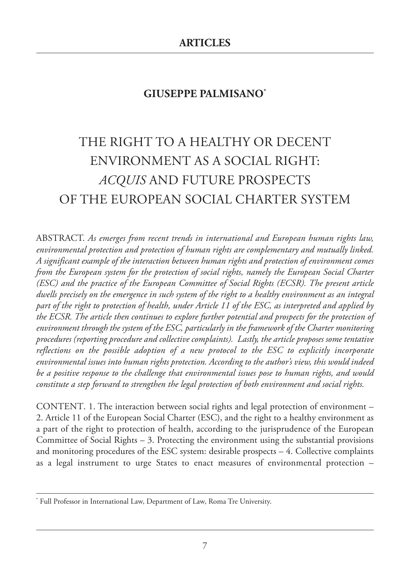# **GIUSEPPE PALMISANO\***

# THE RIGHT TO A HEALTHY OR DECENT ENVIRONMENT AS A SOCIAL RIGHT: *ACQUIS* AND FUTURE PROSPECTS OF THE EUROPEAN SOCIAL CHARTER SYSTEM

ABSTRACT. *As emerges from recent trends in international and European human rights law, environmental protection and protection of human rights are complementary and mutually linked. A significant example of the interaction between human rights and protection of environment comes from the European system for the protection of social rights, namely the European Social Charter (ESC) and the practice of the European Committee of Social Rights (ECSR). The present article* dwells precisely on the emergence in such system of the right to a healthy environment as an integral part of the right to protection of health, under Article 11 of the ESC, as interpreted and applied by *the ECSR. The article then continues to explore further potential and prospects for the protection of environment through the system of the ESC, particularly in the framework of the Charter monitoring procedures (reporting procedure and collective complaints). Lastly, the article proposes some tentative reflections on the possible adoption of a new protocol to the ESC to explicitly incorporate environmental issues into human rights protection. According to the author's view, this would indeed be a positive response to the challenge that environmental issues pose to human rights, and would constitute a step forward to strengthen the legal protection of both environment and social rights.*

CONTENT. 1. The interaction between social rights and legal protection of environment – 2. Article 11 of the European Social Charter (ESC), and the right to a healthy environment as a part of the right to protection of health, according to the jurisprudence of the European Committee of Social Rights – 3. Protecting the environment using the substantial provisions and monitoring procedures of the ESC system: desirable prospects  $-4$ . Collective complaints as a legal instrument to urge States to enact measures of environmental protection –

<sup>\*</sup> Full Professor in International Law, Department of Law, Roma Tre University.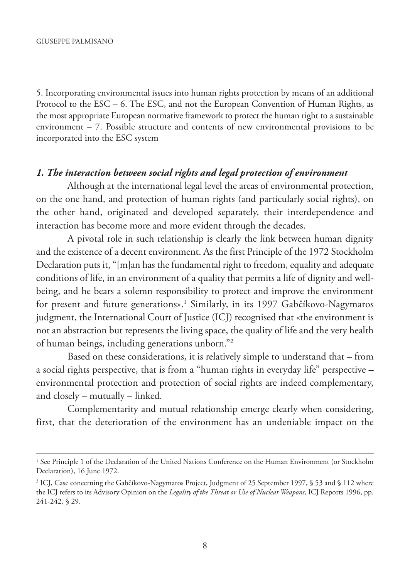5. incorporating environmental issues into human rights protection by means of an additional Protocol to the ESC – 6. The ESC, and not the European Convention of Human Rights, as the most appropriate European normative framework to protect the human right to a sustainable environment – 7. possible structure and contents of new environmental provisions to be incorporated into the ESC system

#### *1. The interaction between social rights and legal protection of environment*

although at the international legal level the areas of environmental protection, on the one hand, and protection of human rights (and particularly social rights), on the other hand, originated and developed separately, their interdependence and interaction has become more and more evident through the decades.

a pivotal role in such relationship is clearly the link between human dignity and the existence of a decent environment. As the first Principle of the 1972 Stockholm Declaration puts it, "[m]an has the fundamental right to freedom, equality and adequate conditions of life, in an environment of a quality that permits a life of dignity and wellbeing, and he bears a solemn responsibility to protect and improve the environment for present and future generations».<sup>1</sup> Similarly, in its 1997 Gabčíkovo-Nagymaros judgment, the International Court of Justice (ICJ) recognised that «the environment is not an abstraction but represents the living space, the quality of life and the very health of human beings, including generations unborn."2

Based on these considerations, it is relatively simple to understand that – from a social rights perspective, that is from a "human rights in everyday life" perspective – environmental protection and protection of social rights are indeed complementary, and closely – mutually – linked.

Complementarity and mutual relationship emerge clearly when considering, first, that the deterioration of the environment has an undeniable impact on the

<sup>&</sup>lt;sup>1</sup> See Principle 1 of the Declaration of the United Nations Conference on the Human Environment (or Stockholm Declaration), 16 June 1972.

<sup>&</sup>lt;sup>2</sup> ICJ, Case concerning the Gabčíkovo-Nagymaros Project, Judgment of 25 September 1997, § 53 and § 112 where the iCJ refers to its advisory opinion on the *Legality of the Threat or Use of Nuclear Weapons*, iCJ Reports 1996, pp. 241-242, § 29.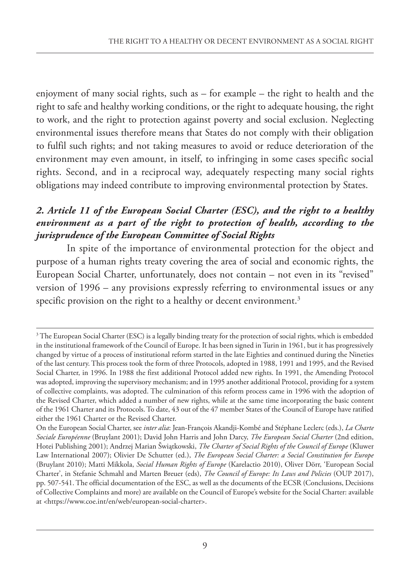enjoyment of many social rights, such as – for example – the right to health and the right to safe and healthy working conditions, or the right to adequate housing, the right to work, and the right to protection against poverty and social exclusion. Neglecting environmental issues therefore means that States do not comply with their obligation to fulfil such rights; and not taking measures to avoid or reduce deterioration of the environment may even amount, in itself, to infringing in some cases specific social rights. Second, and in a reciprocal way, adequately respecting many social rights obligations may indeed contribute to improving environmental protection by states.

### *2. Article 11 of the European Social Charter (ESC), and the right to a healthy environment as a part of the right to protection of health, according to the jurisprudence of the European Committee of Social Rights*

In spite of the importance of environmental protection for the object and purpose of a human rights treaty covering the area of social and economic rights, the European Social Charter, unfortunately, does not contain - not even in its "revised" version of 1996 – any provisions expressly referring to environmental issues or any specific provision on the right to a healthy or decent environment.<sup>3</sup>

<sup>&</sup>lt;sup>3</sup> The European Social Charter (ESC) is a legally binding treaty for the protection of social rights, which is embedded in the institutional framework of the Council of Europe. It has been signed in Turin in 1961, but it has progressively changed by virtue of a process of institutional reform started in the late Eighties and continued during the Nineties of the last century. This process took the form of three protocols, adopted in 1988, 1991 and 1995, and the Revised Social Charter, in 1996. In 1988 the first additional Protocol added new rights. In 1991, the Amending Protocol was adopted, improving the supervisory mechanism; and in 1995 another additional protocol, providing for a system of collective complaints, was adopted. The culmination of this reform process came in 1996 with the adoption of the Revised Charter, which added a number of new rights, while at the same time incorporating the basic content of the 1961 Charter and its Protocols. To date, 43 out of the 47 member States of the Council of Europe have ratified either the 1961 Charter or the Revised Charter.

on the european social Charter, see *inter alia*: Jean-François akandji-Kombé and stéphane leclerc (eds.), *La Charte Sociale Européenne* (Bruylant 2001); David John Harris and John Darcy, *The European Social Charter* (2nd edition, Hotei publishing 2001); andrzej marian Šwiątkowski, *The Charter of Social Rights of the Council of Europe* (Kluwer law international 2007); olivier De schutter (ed.), *The European Social Charter: a Social Constitution for Europe* (Bruylant 2010); matti mikkola, *Social Human Rights of Europe* (Karelactio 2010), oliver Dörr, 'european social Charter', in Stefanie Schmahl and Marten Breuer (eds), *The Council of Europe: Its Laws and Policies* (OUP 2017), pp. 507-541. The official documentation of the esC, as well as the documents of the eCsR (Conclusions, Decisions of Collective Complaints and more) are available on the Council of europe's website for the social Charter: available at <https://www.coe.int/en/web/european-social-charter>.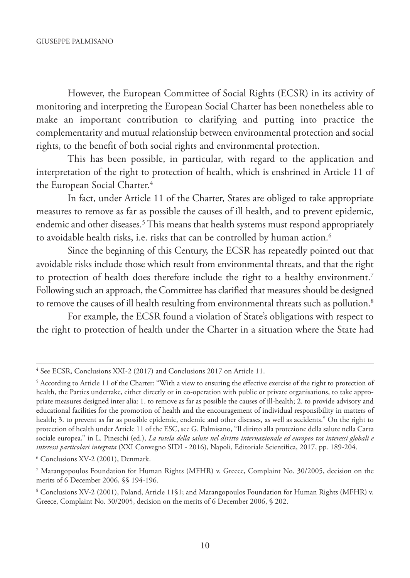However, the European Committee of Social Rights (ECSR) in its activity of monitoring and interpreting the European Social Charter has been nonetheless able to make an important contribution to clarifying and putting into practice the complementarity and mutual relationship between environmental protection and social rights, to the benefit of both social rights and environmental protection.

This has been possible, in particular, with regard to the application and interpretation of the right to protection of health, which is enshrined in Article 11 of the European Social Charter.<sup>4</sup>

In fact, under Article 11 of the Charter, States are obliged to take appropriate measures to remove as far as possible the causes of ill health, and to prevent epidemic, endemic and other diseases.<sup>5</sup> This means that health systems must respond appropriately to avoidable health risks, i.e. risks that can be controlled by human action.<sup>6</sup>

since the beginning of this Century, the eCsR has repeatedly pointed out that avoidable risks include those which result from environmental threats, and that the right to protection of health does therefore include the right to a healthy environment.<sup>7</sup> Following such an approach, the Committee has clarified that measures should be designed to remove the causes of ill health resulting from environmental threats such as pollution.<sup>8</sup>

For example, the ECSR found a violation of State's obligations with respect to the right to protection of health under the Charter in a situation where the State had

<sup>&</sup>lt;sup>4</sup> See ECSR, Conclusions XXI-2 (2017) and Conclusions 2017 on Article 11.

<sup>&</sup>lt;sup>5</sup> According to Article 11 of the Charter: "With a view to ensuring the effective exercise of the right to protection of health, the parties undertake, either directly or in co-operation with public or private organisations, to take appropriate measures designed inter alia: 1. to remove as far as possible the causes of ill-health; 2. to provide advisory and educational facilities for the promotion of health and the encouragement of individual responsibility in matters of health; 3. to prevent as far as possible epidemic, endemic and other diseases, as well as accidents." On the right to protection of health under article 11 of the esC, see G. palmisano, "il diritto alla protezione della salute nella Carta sociale europea," in L. Pineschi (ed.), *La tutela della salute nel diritto internazionale ed europeo tra interessi globali e interessi particolari integrata* (XXi Convegno siDi - 2016), napoli, editoriale scientifica, 2017, pp. 189-204.

<sup>6</sup> Conclusions Xv-2 (2001), Denmark.

<sup>7</sup> marangopoulos Foundation for Human Rights (mFHR) v. Greece, Complaint no. 30/2005, decision on the merits of 6 December 2006, §§ 194-196.

<sup>8</sup> Conclusions Xv-2 (2001), poland, article 11§1; and marangopoulos Foundation for Human Rights (mFHR) v. Greece, Complaint No. 30/2005, decision on the merits of 6 December 2006, § 202.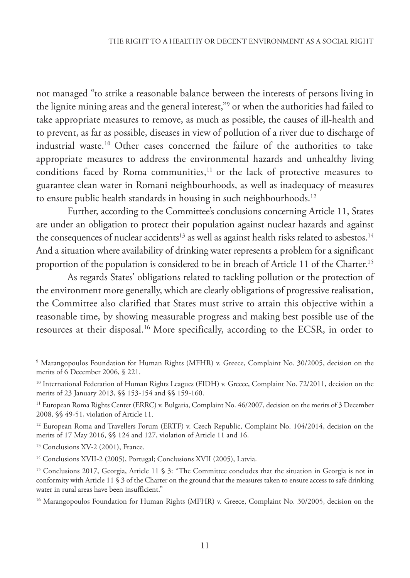not managed "to strike a reasonable balance between the interests of persons living in the lignite mining areas and the general interest,"9 or when the authorities had failed to take appropriate measures to remove, as much as possible, the causes of ill-health and to prevent, as far as possible, diseases in view of pollution of a river due to discharge of industrial waste.<sup>10</sup> Other cases concerned the failure of the authorities to take appropriate measures to address the environmental hazards and unhealthy living conditions faced by Roma communities,<sup>11</sup> or the lack of protective measures to guarantee clean water in Romani neighbourhoods, as well as inadequacy of measures to ensure public health standards in housing in such neighbourhoods.<sup>12</sup>

Further, according to the Committee's conclusions concerning Article 11, States are under an obligation to protect their population against nuclear hazards and against the consequences of nuclear accidents<sup>13</sup> as well as against health risks related to asbestos.<sup>14</sup> And a situation where availability of drinking water represents a problem for a significant proportion of the population is considered to be in breach of Article 11 of the Charter.<sup>15</sup>

As regards States' obligations related to tackling pollution or the protection of the environment more generally, which are clearly obligations of progressive realisation, the Committee also clarified that States must strive to attain this objective within a reasonable time, by showing measurable progress and making best possible use of the resources at their disposal.<sup>16</sup> More specifically, according to the ECSR, in order to

<sup>&</sup>lt;sup>9</sup> Marangopoulos Foundation for Human Rights (MFHR) v. Greece, Complaint No. 30/2005, decision on the merits of 6 December 2006, § 221.

<sup>&</sup>lt;sup>10</sup> International Federation of Human Rights Leagues (FIDH) v. Greece, Complaint No. 72/2011, decision on the merits of 23 January 2013, §§ 153-154 and §§ 159-160.

<sup>&</sup>lt;sup>11</sup> European Roma Rights Center (ERRC) v. Bulgaria, Complaint No. 46/2007, decision on the merits of 3 December 2008, §§ 49-51, violation of article 11.

<sup>&</sup>lt;sup>12</sup> European Roma and Travellers Forum (ERTF) v. Czech Republic, Complaint No. 104/2014, decision on the merits of 17 May 2016, §§ 124 and 127, violation of Article 11 and 16.

<sup>&</sup>lt;sup>13</sup> Conclusions XV-2 (2001), France.

<sup>&</sup>lt;sup>14</sup> Conclusions XVII-2 (2005), Portugal; Conclusions XVII (2005), Latvia.

<sup>&</sup>lt;sup>15</sup> Conclusions 2017, Georgia, Article 11 § 3: "The Committee concludes that the situation in Georgia is not in conformity with article 11 § 3 of the Charter on the ground that the measures taken to ensure access to safe drinking water in rural areas have been insufficient."

<sup>&</sup>lt;sup>16</sup> Marangopoulos Foundation for Human Rights (MFHR) v. Greece, Complaint No. 30/2005, decision on the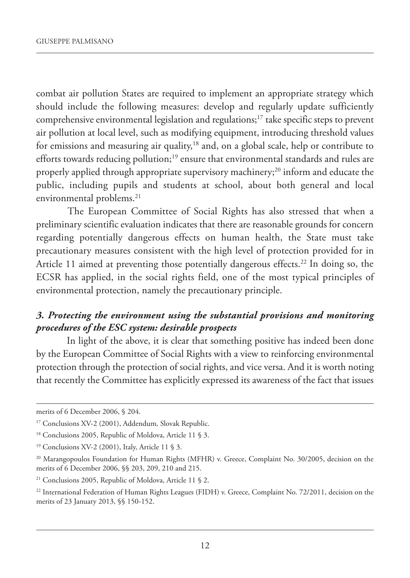combat air pollution States are required to implement an appropriate strategy which should include the following measures: develop and regularly update sufficiently comprehensive environmental legislation and regulations;17 take specific steps to prevent air pollution at local level, such as modifying equipment, introducing threshold values for emissions and measuring air quality,<sup>18</sup> and, on a global scale, help or contribute to efforts towards reducing pollution;<sup>19</sup> ensure that environmental standards and rules are properly applied through appropriate supervisory machinery;20 inform and educate the public, including pupils and students at school, about both general and local environmental problems.<sup>21</sup>

The European Committee of Social Rights has also stressed that when a preliminary scientific evaluation indicates that there are reasonable grounds for concern regarding potentially dangerous effects on human health, the State must take precautionary measures consistent with the high level of protection provided for in Article 11 aimed at preventing those potentially dangerous effects.<sup>22</sup> In doing so, the eCsR has applied, in the social rights field, one of the most typical principles of environmental protection, namely the precautionary principle.

#### *3. Protecting the environment using the substantial provisions and monitoring procedures of the ESC system: desirable prospects*

In light of the above, it is clear that something positive has indeed been done by the European Committee of Social Rights with a view to reinforcing environmental protection through the protection of social rights, and vice versa. And it is worth noting that recently the Committee has explicitly expressed its awareness of the fact that issues

merits of 6 December 2006, § 204.

<sup>&</sup>lt;sup>17</sup> Conclusions XV-2 (2001), Addendum, Slovak Republic.

<sup>&</sup>lt;sup>18</sup> Conclusions 2005, Republic of Moldova, Article 11 § 3.

<sup>&</sup>lt;sup>19</sup> Conclusions XV-2 (2001), Italy, Article 11 § 3.

<sup>&</sup>lt;sup>20</sup> Marangopoulos Foundation for Human Rights (MFHR) v. Greece, Complaint No. 30/2005, decision on the merits of 6 December 2006, §§ 203, 209, 210 and 215.

<sup>&</sup>lt;sup>21</sup> Conclusions 2005, Republic of Moldova, Article 11 § 2.

<sup>&</sup>lt;sup>22</sup> International Federation of Human Rights Leagues (FIDH) v. Greece, Complaint No. 72/2011, decision on the merits of 23 January 2013, §§ 150-152.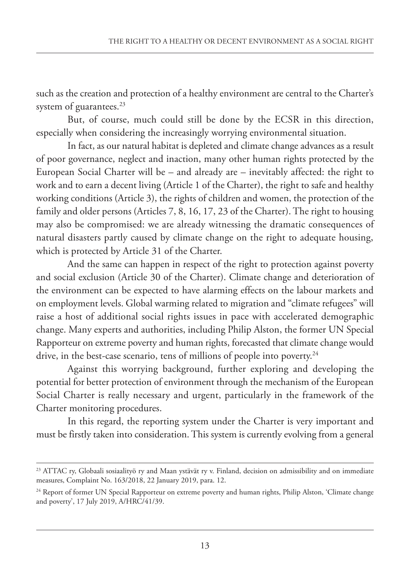such as the creation and protection of a healthy environment are central to the Charter's system of guarantees.<sup>23</sup>

But, of course, much could still be done by the ECSR in this direction, especially when considering the increasingly worrying environmental situation.

In fact, as our natural habitat is depleted and climate change advances as a result of poor governance, neglect and inaction, many other human rights protected by the European Social Charter will be – and already are – inevitably affected: the right to work and to earn a decent living (Article 1 of the Charter), the right to safe and healthy working conditions (Article 3), the rights of children and women, the protection of the family and older persons (Articles 7, 8, 16, 17, 23 of the Charter). The right to housing may also be compromised: we are already witnessing the dramatic consequences of natural disasters partly caused by climate change on the right to adequate housing, which is protected by Article 31 of the Charter.

And the same can happen in respect of the right to protection against poverty and social exclusion (Article 30 of the Charter). Climate change and deterioration of the environment can be expected to have alarming effects on the labour markets and on employment levels. Global warming related to migration and "climate refugees" will raise a host of additional social rights issues in pace with accelerated demographic change. Many experts and authorities, including Philip Alston, the former UN Special Rapporteur on extreme poverty and human rights, forecasted that climate change would drive, in the best-case scenario, tens of millions of people into poverty.<sup>24</sup>

against this worrying background, further exploring and developing the potential for better protection of environment through the mechanism of the European social Charter is really necessary and urgent, particularly in the framework of the Charter monitoring procedures.

In this regard, the reporting system under the Charter is very important and must be firstly taken into consideration. This system is currently evolving from a general

<sup>&</sup>lt;sup>23</sup> ATTAC ry, Globaali sosiaalityö ry and Maan ystävät ry v. Finland, decision on admissibility and on immediate measures, Complaint No. 163/2018, 22 January 2019, para. 12.

<sup>&</sup>lt;sup>24</sup> Report of former UN Special Rapporteur on extreme poverty and human rights, Philip Alston, 'Climate change and poverty', 17 July 2019, a/HRC/41/39.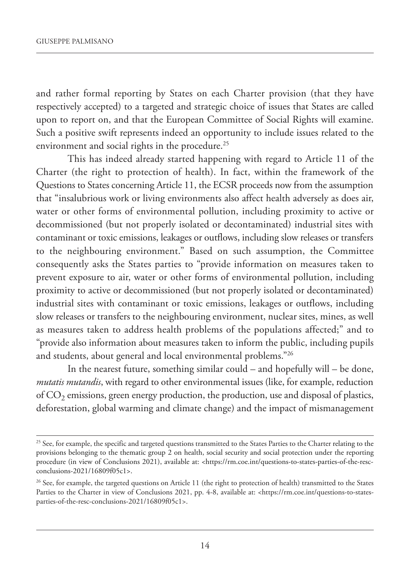and rather formal reporting by states on each Charter provision (that they have respectively accepted) to a targeted and strategic choice of issues that States are called upon to report on, and that the European Committee of Social Rights will examine. such a positive swift represents indeed an opportunity to include issues related to the environment and social rights in the procedure.<sup>25</sup>

This has indeed already started happening with regard to Article 11 of the Charter (the right to protection of health). in fact, within the framework of the Questions to States concerning Article 11, the ECSR proceeds now from the assumption that "insalubrious work or living environments also affect health adversely as does air, water or other forms of environmental pollution, including proximity to active or decommissioned (but not properly isolated or decontaminated) industrial sites with contaminant or toxic emissions, leakages or outflows, including slow releases or transfers to the neighbouring environment." Based on such assumption, the Committee consequently asks the States parties to "provide information on measures taken to prevent exposure to air, water or other forms of environmental pollution, including proximity to active or decommissioned (but not properly isolated or decontaminated) industrial sites with contaminant or toxic emissions, leakages or outflows, including slow releases or transfers to the neighbouring environment, nuclear sites, mines, as well as measures taken to address health problems of the populations affected;" and to "provide also information about measures taken to inform the public, including pupils and students, about general and local environmental problems."26

In the nearest future, something similar could  $-$  and hopefully will  $-$  be done, *mutatis mutandis*, with regard to other environmental issues (like, for example, reduction of  $CO<sub>2</sub>$  emissions, green energy production, the production, use and disposal of plastics, deforestation, global warming and climate change) and the impact of mismanagement

<sup>&</sup>lt;sup>25</sup> See, for example, the specific and targeted questions transmitted to the States Parties to the Charter relating to the provisions belonging to the thematic group 2 on health, social security and social protection under the reporting procedure (in view of Conclusions 2021), available at: <https://rm.coe.int/questions-to-states-parties-of-the-rescconclusions-2021/16809f05c1>.

<sup>&</sup>lt;sup>26</sup> See, for example, the targeted questions on Article 11 (the right to protection of health) transmitted to the States parties to the Charter in view of Conclusions 2021, pp. 4-8, available at: <https://rm.coe.int/questions-to-statesparties-of-the-resc-conclusions-2021/16809f05c1>.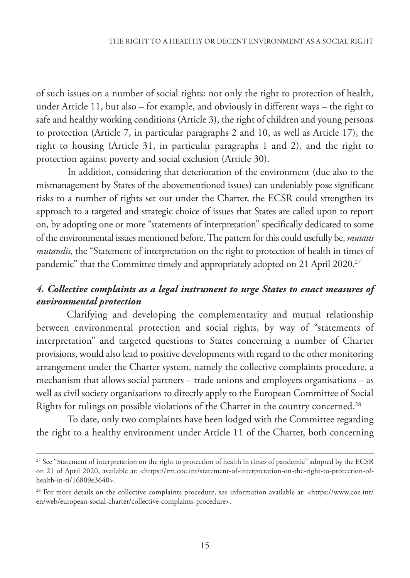of such issues on a number of social rights: not only the right to protection of health, under Article 11, but also – for example, and obviously in different ways – the right to safe and healthy working conditions (Article 3), the right of children and young persons to protection (Article 7, in particular paragraphs 2 and 10, as well as Article 17), the right to housing (Article 31, in particular paragraphs 1 and 2), and the right to protection against poverty and social exclusion (Article 30).

In addition, considering that deterioration of the environment (due also to the mismanagement by states of the abovementioned issues) can undeniably pose significant risks to a number of rights set out under the Charter, the ECSR could strengthen its approach to a targeted and strategic choice of issues that States are called upon to report on, by adopting one or more "statements of interpretation" specifically dedicated to some of the environmental issues mentioned before. The pattern for this could usefully be, *mutatis mutandis*, the "Statement of interpretation on the right to protection of health in times of pandemic" that the Committee timely and appropriately adopted on 21 April 2020.<sup>27</sup>

### *4. Collective complaints as a legal instrument to urge States to enact measures of environmental protection*

Clarifying and developing the complementarity and mutual relationship between environmental protection and social rights, by way of "statements of interpretation" and targeted questions to states concerning a number of Charter provisions, would also lead to positive developments with regard to the other monitoring arrangement under the Charter system, namely the collective complaints procedure, a mechanism that allows social partners – trade unions and employers organisations – as well as civil society organisations to directly apply to the European Committee of Social Rights for rulings on possible violations of the Charter in the country concerned.28

To date, only two complaints have been lodged with the Committee regarding the right to a healthy environment under Article 11 of the Charter, both concerning

<sup>&</sup>lt;sup>27</sup> See "Statement of interpretation on the right to protection of health in times of pandemic" adopted by the ECSR on 21 of april 2020, available at: <https://rm.coe.int/statement-of-interpretation-on-the-right-to-protection-ofhealth-in-ti/16809e3640>.

<sup>28</sup> For more details on the collective complaints procedure, see information available at: <https://www.coe.int/ en/web/european-social-charter/collective-complaints-procedure>.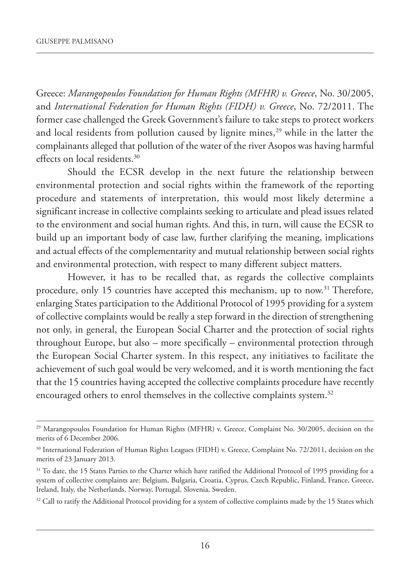Greece: *Marangopoulos Foundation for Human Rights (MFHR) v. Greece*, No. 30/2005, and *International Federation for Human Rights (FIDH) v. Greece*, No. 72/2011. The former case challenged the Greek Government's failure to take steps to protect workers and local residents from pollution caused by lignite mines,<sup>29</sup> while in the latter the complainants alleged that pollution of the water of the river Asopos was having harmful effects on local residents.30

should the eCsR develop in the next future the relationship between environmental protection and social rights within the framework of the reporting procedure and statements of interpretation, this would most likely determine a significant increase in collective complaints seeking to articulate and plead issues related to the environment and social human rights. And this, in turn, will cause the ECSR to build up an important body of case law, further clarifying the meaning, implications and actual effects of the complementarity and mutual relationship between social rights and environmental protection, with respect to many different subject matters.

However, it has to be recalled that, as regards the collective complaints procedure, only 15 countries have accepted this mechanism, up to now.<sup>31</sup> Therefore, enlarging States participation to the Additional Protocol of 1995 providing for a system of collective complaints would be really a step forward in the direction of strengthening not only, in general, the European Social Charter and the protection of social rights throughout Europe, but also – more specifically – environmental protection through the European Social Charter system. In this respect, any initiatives to facilitate the achievement of such goal would be very welcomed, and it is worth mentioning the fact that the 15 countries having accepted the collective complaints procedure have recently encouraged others to enrol themselves in the collective complaints system.<sup>32</sup>

<sup>&</sup>lt;sup>29</sup> Marangopoulos Foundation for Human Rights (MFHR) v. Greece, Complaint No. 30/2005, decision on the merits of 6 December 2006.

<sup>&</sup>lt;sup>30</sup> International Federation of Human Rights Leagues (FIDH) v. Greece, Complaint No. 72/2011, decision on the merits of 23 January 2013.

<sup>&</sup>lt;sup>31</sup> To date, the 15 States Parties to the Charter which have ratified the Additional Protocol of 1995 providing for a system of collective complaints are: Belgium, Bulgaria, Croatia, Cyprus, Czech Republic, Finland, France, Greece, Ireland, Italy, the Netherlands, Norway, Portugal, Slovenia, Sweden.

<sup>&</sup>lt;sup>32</sup> Call to ratify the Additional Protocol providing for a system of collective complaints made by the 15 States which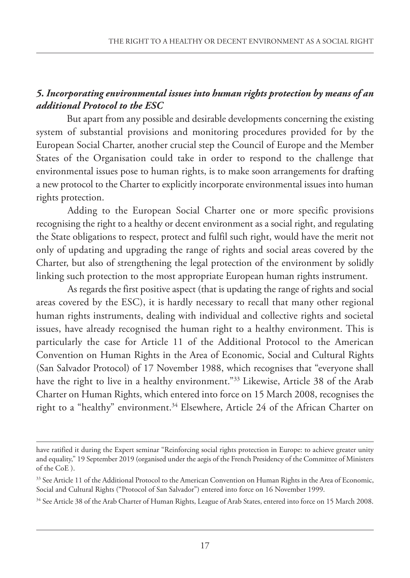### *5. Incorporating environmental issues into human rights protection by means of an additional Protocol to the ESC*

But apart from any possible and desirable developments concerning the existing system of substantial provisions and monitoring procedures provided for by the European Social Charter, another crucial step the Council of Europe and the Member States of the Organisation could take in order to respond to the challenge that environmental issues pose to human rights, is to make soon arrangements for drafting a new protocol to the Charter to explicitly incorporate environmental issues into human rights protection.

Adding to the European Social Charter one or more specific provisions recognising the right to a healthy or decent environment as a social right, and regulating the State obligations to respect, protect and fulfil such right, would have the merit not only of updating and upgrading the range of rights and social areas covered by the Charter, but also of strengthening the legal protection of the environment by solidly linking such protection to the most appropriate European human rights instrument.

As regards the first positive aspect (that is updating the range of rights and social areas covered by the esC), it is hardly necessary to recall that many other regional human rights instruments, dealing with individual and collective rights and societal issues, have already recognised the human right to a healthy environment. This is particularly the case for Article 11 of the Additional Protocol to the American Convention on Human Rights in the Area of Economic, Social and Cultural Rights (San Salvador Protocol) of 17 November 1988, which recognises that "everyone shall have the right to live in a healthy environment."<sup>33</sup> Likewise, Article 38 of the Arab Charter on Human Rights, which entered into force on 15 march 2008, recognises the right to a "healthy" environment.<sup>34</sup> Elsewhere, Article 24 of the African Charter on

have ratified it during the Expert seminar "Reinforcing social rights protection in Europe: to achieve greater unity and equality," 19 september 2019 (organised under the aegis of the French presidency of the Committee of ministers of the CoE).

<sup>&</sup>lt;sup>33</sup> See Article 11 of the Additional Protocol to the American Convention on Human Rights in the Area of Economic, Social and Cultural Rights ("Protocol of San Salvador") entered into force on 16 November 1999.

<sup>&</sup>lt;sup>34</sup> See Article 38 of the Arab Charter of Human Rights, League of Arab States, entered into force on 15 March 2008.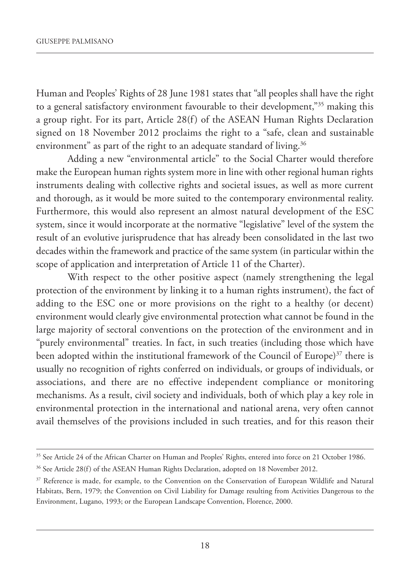Human and Peoples' Rights of 28 June 1981 states that "all peoples shall have the right to a general satisfactory environment favourable to their development,"35 making this a group right. For its part, Article 28(f) of the ASEAN Human Rights Declaration signed on 18 November 2012 proclaims the right to a "safe, clean and sustainable environment" as part of the right to an adequate standard of living.<sup>36</sup>

Adding a new "environmental article" to the Social Charter would therefore make the European human rights system more in line with other regional human rights instruments dealing with collective rights and societal issues, as well as more current and thorough, as it would be more suited to the contemporary environmental reality. Furthermore, this would also represent an almost natural development of the ESC system, since it would incorporate at the normative "legislative" level of the system the result of an evolutive jurisprudence that has already been consolidated in the last two decades within the framework and practice of the same system (in particular within the scope of application and interpretation of Article 11 of the Charter).

With respect to the other positive aspect (namely strengthening the legal protection of the environment by linking it to a human rights instrument), the fact of adding to the ESC one or more provisions on the right to a healthy (or decent) environment would clearly give environmental protection what cannot be found in the large majority of sectoral conventions on the protection of the environment and in "purely environmental" treaties. In fact, in such treaties (including those which have been adopted within the institutional framework of the Council of Europe)<sup>37</sup> there is usually no recognition of rights conferred on individuals, or groups of individuals, or associations, and there are no effective independent compliance or monitoring mechanisms. As a result, civil society and individuals, both of which play a key role in environmental protection in the international and national arena, very often cannot avail themselves of the provisions included in such treaties, and for this reason their

<sup>&</sup>lt;sup>35</sup> See Article 24 of the African Charter on Human and Peoples' Rights, entered into force on 21 October 1986.

<sup>&</sup>lt;sup>36</sup> See Article 28(f) of the ASEAN Human Rights Declaration, adopted on 18 November 2012.

<sup>&</sup>lt;sup>37</sup> Reference is made, for example, to the Convention on the Conservation of European Wildlife and Natural Habitats, Bern, 1979; the Convention on Civil liability for Damage resulting from activities Dangerous to the Environment, Lugano, 1993; or the European Landscape Convention, Florence, 2000.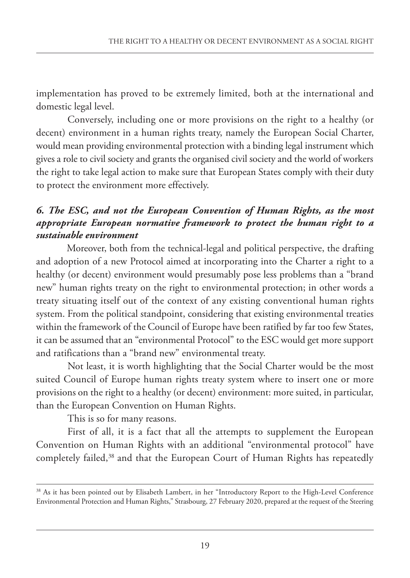implementation has proved to be extremely limited, both at the international and domestic legal level.

Conversely, including one or more provisions on the right to a healthy (or decent) environment in a human rights treaty, namely the European Social Charter, would mean providing environmental protection with a binding legal instrument which gives a role to civil society and grants the organised civil society and the world of workers the right to take legal action to make sure that European States comply with their duty to protect the environment more effectively.

### *6. The ESC, and not the European Convention of Human Rights, as the most appropriate European normative framework to protect the human right to a sustainable environment*

Moreover, both from the technical-legal and political perspective, the drafting and adoption of a new Protocol aimed at incorporating into the Charter a right to a healthy (or decent) environment would presumably pose less problems than a "brand new" human rights treaty on the right to environmental protection; in other words a treaty situating itself out of the context of any existing conventional human rights system. From the political standpoint, considering that existing environmental treaties within the framework of the Council of Europe have been ratified by far too few States, it can be assumed that an "environmental Protocol" to the ESC would get more support and ratifications than a "brand new" environmental treaty.

Not least, it is worth highlighting that the Social Charter would be the most suited Council of Europe human rights treaty system where to insert one or more provisions on the right to a healthy (or decent) environment: more suited, in particular, than the European Convention on Human Rights.

This is so for many reasons.

First of all, it is a fact that all the attempts to supplement the European Convention on Human Rights with an additional "environmental protocol" have completely failed,<sup>38</sup> and that the European Court of Human Rights has repeatedly

<sup>&</sup>lt;sup>38</sup> As it has been pointed out by Elisabeth Lambert, in her "Introductory Report to the High-Level Conference Environmental Protection and Human Rights," Strasbourg, 27 February 2020, prepared at the request of the Steering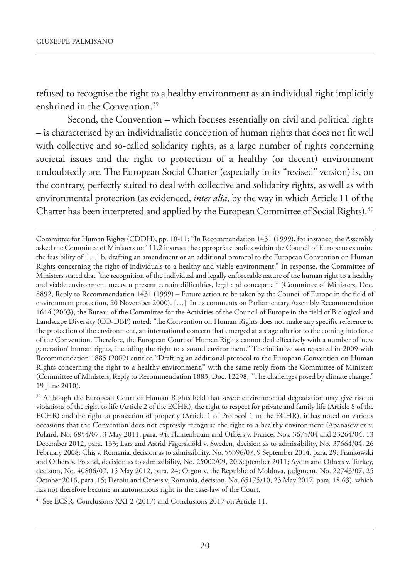refused to recognise the right to a healthy environment as an individual right implicitly enshrined in the Convention.39

second, the Convention – which focuses essentially on civil and political rights – is characterised by an individualistic conception of human rights that does not fit well with collective and so-called solidarity rights, as a large number of rights concerning societal issues and the right to protection of a healthy (or decent) environment undoubtedly are. The European Social Charter (especially in its "revised" version) is, on the contrary, perfectly suited to deal with collective and solidarity rights, as well as with environmental protection (as evidenced, *inter alia*, by the way in which Article 11 of the Charter has been interpreted and applied by the European Committee of Social Rights).<sup>40</sup>

Committee for Human Rights (CDDH), pp. 10-11: "In Recommendation 1431 (1999), for instance, the Assembly asked the Committee of Ministers to: "11.2 instruct the appropriate bodies within the Council of Europe to examine the feasibility of: […] b. drafting an amendment or an additional protocol to the european Convention on Human Rights concerning the right of individuals to a healthy and viable environment." in response, the Committee of ministers stated that "the recognition of the individual and legally enforceable nature of the human right to a healthy and viable environment meets at present certain difficulties, legal and conceptual" (Committee of ministers, Doc. 8892, Reply to Recommendation 1431 (1999) – Future action to be taken by the Council of Europe in the field of environment protection, 20 November 2000). [...] In its comments on Parliamentary Assembly Recommendation 1614 (2003), the Bureau of the Committee for the Activities of the Council of Europe in the field of Biological and landscape Diversity (Co-DBp) noted: "the Convention on Human Rights does not make any specific reference to the protection of the environment, an international concern that emerged at a stage ulterior to the coming into force of the Convention. Therefore, the European Court of Human Rights cannot deal effectively with a number of 'new generation' human rights, including the right to a sound environment." The initiative was repeated in 2009 with Recommendation 1885 (2009) entitled "Drafting an additional protocol to the European Convention on Human Rights concerning the right to a healthy environment," with the same reply from the Committee of ministers (Committee of Ministers, Reply to Recommendation 1883, Doc. 12298, "The challenges posed by climate change," 19 June 2010).

<sup>&</sup>lt;sup>39</sup> Although the European Court of Human Rights held that severe environmental degradation may give rise to violations of the right to life (article 2 of the eCHR), the right to respect for private and family life (article 8 of the ECHR) and the right to protection of property (Article 1 of Protocol 1 to the ECHR), it has noted on various occasions that the Convention does not expressly recognise the right to a healthy environment (apanasewicz v. poland, no. 6854/07, 3 may 2011, para. 94; Flamenbaum and others v. France, nos. 3675/04 and 23264/04, 13 December 2012, para. 133; lars and astrid Fägerskiöld v. sweden, decision as to admissibility, no. 37664/04, 26 February 2008; Chiş v. Romania, decision as to admissibility, no. 55396/07, 9 september 2014, para. 29; Frankowski and others v. poland, decision as to admissibility, no. 25002/09, 20 september 2011; aydin and others v. Turkey, decision, No. 40806/07, 15 May 2012, para. 24; Otgon v. the Republic of Moldova, judgment, No. 22743/07, 25 October 2016, para. 15; Fieroiu and Others v. Romania, decision, No. 65175/10, 23 May 2017, para. 18.63), which has not therefore become an autonomous right in the case-law of the Court.

<sup>&</sup>lt;sup>40</sup> See ECSR, Conclusions XXI-2 (2017) and Conclusions 2017 on Article 11.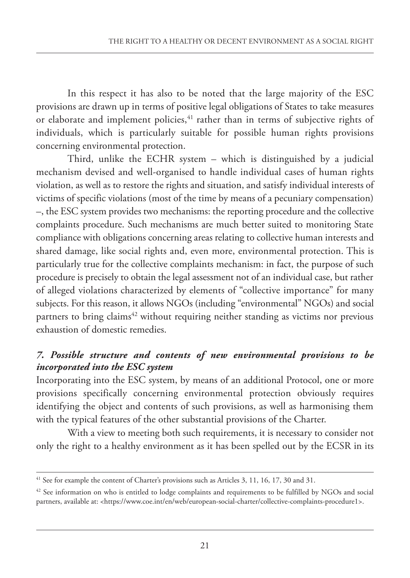In this respect it has also to be noted that the large majority of the ESC provisions are drawn up in terms of positive legal obligations of states to take measures or elaborate and implement policies, $41$  rather than in terms of subjective rights of individuals, which is particularly suitable for possible human rights provisions concerning environmental protection.

Third, unlike the ECHR system  $-$  which is distinguished by a judicial mechanism devised and well-organised to handle individual cases of human rights violation, as well as to restore the rights and situation, and satisfy individual interests of victims of specific violations (most of the time by means of a pecuniary compensation) –, the esC system provides two mechanisms: the reporting procedure and the collective complaints procedure. Such mechanisms are much better suited to monitoring State compliance with obligations concerning areas relating to collective human interests and shared damage, like social rights and, even more, environmental protection. This is particularly true for the collective complaints mechanism: in fact, the purpose of such procedure is precisely to obtain the legal assessment not of an individual case, but rather of alleged violations characterized by elements of "collective importance" for many subjects. For this reason, it allows NGOs (including "environmental" NGOs) and social partners to bring claims<sup>42</sup> without requiring neither standing as victims nor previous exhaustion of domestic remedies.

## *7. Possible structure and contents of new environmental provisions to be incorporated into the ESC system*

Incorporating into the ESC system, by means of an additional Protocol, one or more provisions specifically concerning environmental protection obviously requires identifying the object and contents of such provisions, as well as harmonising them with the typical features of the other substantial provisions of the Charter.

With a view to meeting both such requirements, it is necessary to consider not only the right to a healthy environment as it has been spelled out by the ECSR in its

<sup>&</sup>lt;sup>41</sup> See for example the content of Charter's provisions such as Articles 3, 11, 16, 17, 30 and 31.

<sup>&</sup>lt;sup>42</sup> See information on who is entitled to lodge complaints and requirements to be fulfilled by NGOs and social partners, available at: <https://www.coe.int/en/web/european-social-charter/collective-complaints-procedure1>.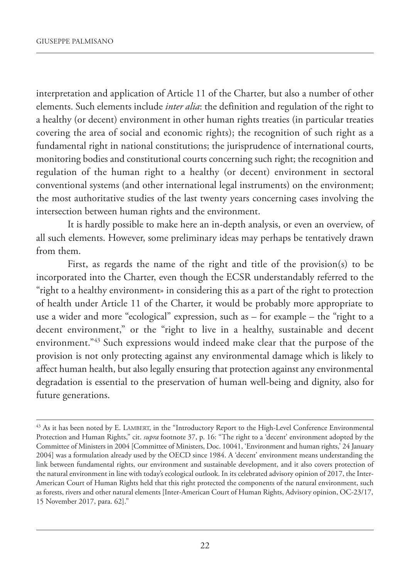interpretation and application of Article 11 of the Charter, but also a number of other elements. such elements include *inter alia*: the definition and regulation of the right to a healthy (or decent) environment in other human rights treaties (in particular treaties covering the area of social and economic rights); the recognition of such right as a fundamental right in national constitutions; the jurisprudence of international courts, monitoring bodies and constitutional courts concerning such right; the recognition and regulation of the human right to a healthy (or decent) environment in sectoral conventional systems (and other international legal instruments) on the environment; the most authoritative studies of the last twenty years concerning cases involving the intersection between human rights and the environment.

It is hardly possible to make here an in-depth analysis, or even an overview, of all such elements. However, some preliminary ideas may perhaps be tentatively drawn from them.

First, as regards the name of the right and title of the provision(s) to be incorporated into the Charter, even though the ECSR understandably referred to the "right to a healthy environment» in considering this as a part of the right to protection of health under Article 11 of the Charter, it would be probably more appropriate to use a wider and more "ecological" expression, such as – for example – the "right to a decent environment," or the "right to live in a healthy, sustainable and decent environment."43 such expressions would indeed make clear that the purpose of the provision is not only protecting against any environmental damage which is likely to affect human health, but also legally ensuring that protection against any environmental degradation is essential to the preservation of human well-being and dignity, also for future generations.

<sup>&</sup>lt;sup>43</sup> As it has been noted by E. LAMBERT, in the "Introductory Report to the High-Level Conference Environmental protection and Human Rights," cit. *supra* footnote 37, p. 16: "The right to a 'decent' environment adopted by the Committee of Ministers in 2004 [Committee of Ministers, Doc. 10041, 'Environment and human rights,' 24 January 2004] was a formulation already used by the OECD since 1984. A 'decent' environment means understanding the link between fundamental rights, our environment and sustainable development, and it also covers protection of the natural environment in line with today's ecological outlook. in its celebrated advisory opinion of 2017, the interamerican Court of Human Rights held that this right protected the components of the natural environment, such as forests, rivers and other natural elements [inter-american Court of Human Rights, advisory opinion, oC-23/17, 15 november 2017, para. 62]."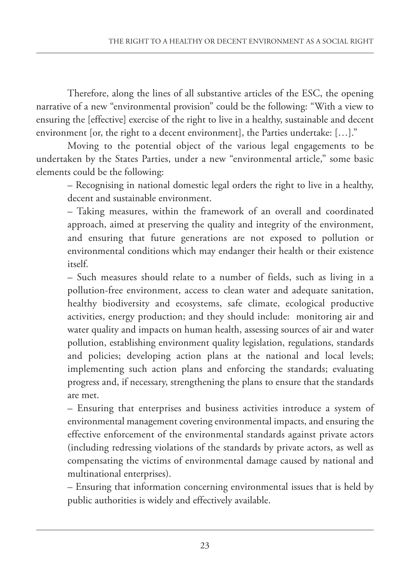Therefore, along the lines of all substantive articles of the ESC, the opening narrative of a new "environmental provision" could be the following: "With a view to ensuring the [effective] exercise of the right to live in a healthy, sustainable and decent environment [or, the right to a decent environment], the Parties undertake: [...]."

moving to the potential object of the various legal engagements to be undertaken by the states parties, under a new "environmental article," some basic elements could be the following:

– Recognising in national domestic legal orders the right to live in a healthy, decent and sustainable environment.

– Taking measures, within the framework of an overall and coordinated approach, aimed at preserving the quality and integrity of the environment, and ensuring that future generations are not exposed to pollution or environmental conditions which may endanger their health or their existence itself.

– such measures should relate to a number of fields, such as living in a pollution-free environment, access to clean water and adequate sanitation, healthy biodiversity and ecosystems, safe climate, ecological productive activities, energy production; and they should include: monitoring air and water quality and impacts on human health, assessing sources of air and water pollution, establishing environment quality legislation, regulations, standards and policies; developing action plans at the national and local levels; implementing such action plans and enforcing the standards; evaluating progress and, if necessary, strengthening the plans to ensure that the standards are met.

– Ensuring that enterprises and business activities introduce a system of environmental management covering environmental impacts, and ensuring the effective enforcement of the environmental standards against private actors (including redressing violations of the standards by private actors, as well as compensating the victims of environmental damage caused by national and multinational enterprises).

– Ensuring that information concerning environmental issues that is held by public authorities is widely and effectively available.